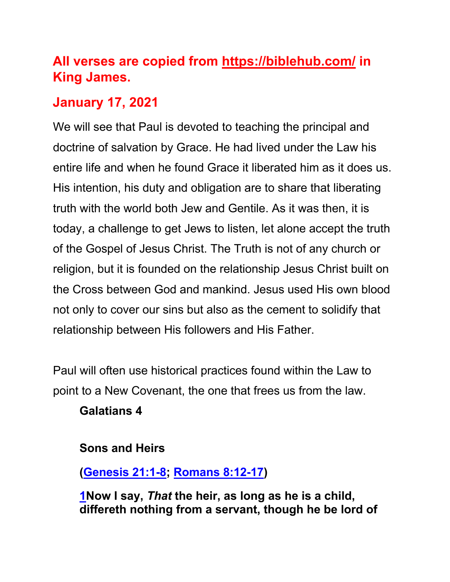# **All verses are copied from https://biblehub.com/ in King James.**

# **January 17, 2021**

We will see that Paul is devoted to teaching the principal and doctrine of salvation by Grace. He had lived under the Law his entire life and when he found Grace it liberated him as it does us. His intention, his duty and obligation are to share that liberating truth with the world both Jew and Gentile. As it was then, it is today, a challenge to get Jews to listen, let alone accept the truth of the Gospel of Jesus Christ. The Truth is not of any church or religion, but it is founded on the relationship Jesus Christ built on the Cross between God and mankind. Jesus used His own blood not only to cover our sins but also as the cement to solidify that relationship between His followers and His Father.

Paul will often use historical practices found within the Law to point to a New Covenant, the one that frees us from the law.

#### **Galatians 4**

#### **Sons and Heirs**

# **(Genesis 21:1-8; Romans 8:12-17)**

**1Now I say,** *That* **the heir, as long as he is a child, differeth nothing from a servant, though he be lord of**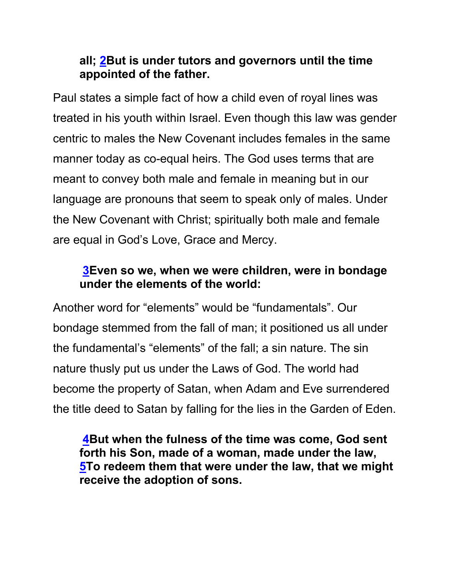# **all; 2But is under tutors and governors until the time appointed of the father.**

Paul states a simple fact of how a child even of royal lines was treated in his youth within Israel. Even though this law was gender centric to males the New Covenant includes females in the same manner today as co-equal heirs. The God uses terms that are meant to convey both male and female in meaning but in our language are pronouns that seem to speak only of males. Under the New Covenant with Christ; spiritually both male and female are equal in God's Love, Grace and Mercy.

### **3Even so we, when we were children, were in bondage under the elements of the world:**

Another word for "elements" would be "fundamentals". Our bondage stemmed from the fall of man; it positioned us all under the fundamental's "elements" of the fall; a sin nature. The sin nature thusly put us under the Laws of God. The world had become the property of Satan, when Adam and Eve surrendered the title deed to Satan by falling for the lies in the Garden of Eden.

**4But when the fulness of the time was come, God sent forth his Son, made of a woman, made under the law, 5To redeem them that were under the law, that we might receive the adoption of sons.**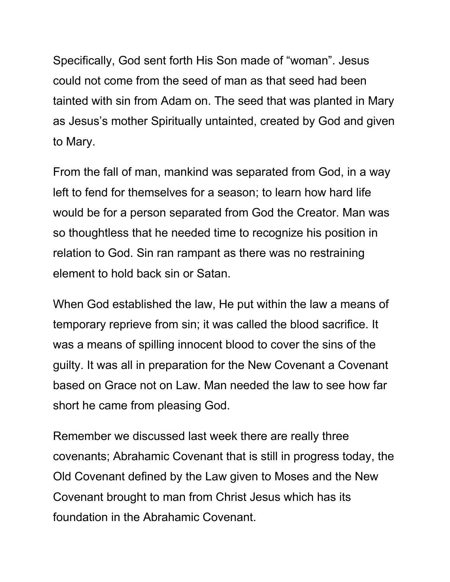Specifically, God sent forth His Son made of "woman". Jesus could not come from the seed of man as that seed had been tainted with sin from Adam on. The seed that was planted in Mary as Jesus's mother Spiritually untainted, created by God and given to Mary.

From the fall of man, mankind was separated from God, in a way left to fend for themselves for a season; to learn how hard life would be for a person separated from God the Creator. Man was so thoughtless that he needed time to recognize his position in relation to God. Sin ran rampant as there was no restraining element to hold back sin or Satan.

When God established the law, He put within the law a means of temporary reprieve from sin; it was called the blood sacrifice. It was a means of spilling innocent blood to cover the sins of the guilty. It was all in preparation for the New Covenant a Covenant based on Grace not on Law. Man needed the law to see how far short he came from pleasing God.

Remember we discussed last week there are really three covenants; Abrahamic Covenant that is still in progress today, the Old Covenant defined by the Law given to Moses and the New Covenant brought to man from Christ Jesus which has its foundation in the Abrahamic Covenant.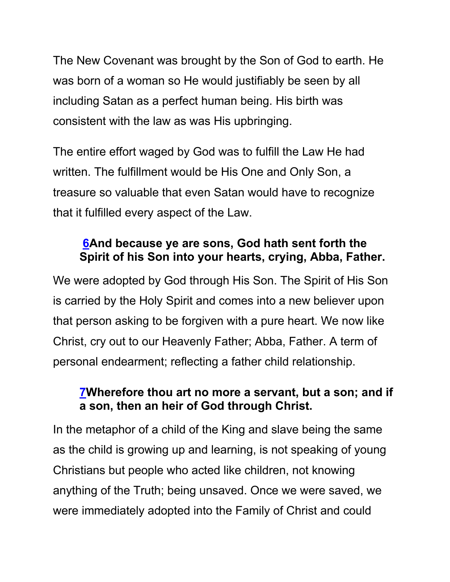The New Covenant was brought by the Son of God to earth. He was born of a woman so He would justifiably be seen by all including Satan as a perfect human being. His birth was consistent with the law as was His upbringing.

The entire effort waged by God was to fulfill the Law He had written. The fulfillment would be His One and Only Son, a treasure so valuable that even Satan would have to recognize that it fulfilled every aspect of the Law.

# **6And because ye are sons, God hath sent forth the Spirit of his Son into your hearts, crying, Abba, Father.**

We were adopted by God through His Son. The Spirit of His Son is carried by the Holy Spirit and comes into a new believer upon that person asking to be forgiven with a pure heart. We now like Christ, cry out to our Heavenly Father; Abba, Father. A term of personal endearment; reflecting a father child relationship.

### **7Wherefore thou art no more a servant, but a son; and if a son, then an heir of God through Christ.**

In the metaphor of a child of the King and slave being the same as the child is growing up and learning, is not speaking of young Christians but people who acted like children, not knowing anything of the Truth; being unsaved. Once we were saved, we were immediately adopted into the Family of Christ and could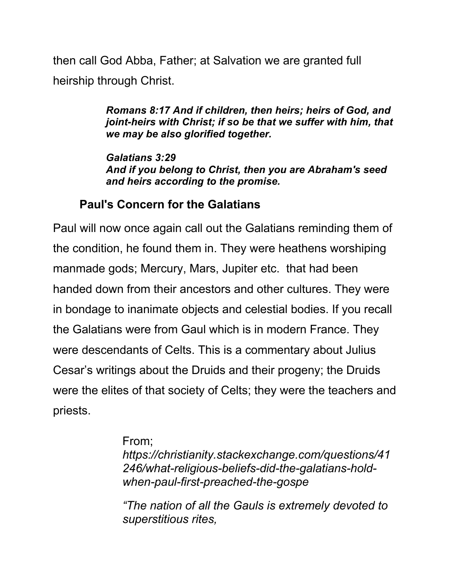then call God Abba, Father; at Salvation we are granted full heirship through Christ.

> *Romans 8:17 And if children, then heirs; heirs of God, and joint-heirs with Christ; if so be that we suffer with him, that we may be also glorified together.*

*Galatians 3:29 And if you belong to Christ, then you are Abraham's seed and heirs according to the promise.*

#### **Paul's Concern for the Galatians**

Paul will now once again call out the Galatians reminding them of the condition, he found them in. They were heathens worshiping manmade gods; Mercury, Mars, Jupiter etc. that had been handed down from their ancestors and other cultures. They were in bondage to inanimate objects and celestial bodies. If you recall the Galatians were from Gaul which is in modern France. They were descendants of Celts. This is a commentary about Julius Cesar's writings about the Druids and their progeny; the Druids were the elites of that society of Celts; they were the teachers and priests.

#### From;

*https://christianity.stackexchange.com/questions/41 246/what-religious-beliefs-did-the-galatians-holdwhen-paul-first-preached-the-gospe*

*"The nation of all the Gauls is extremely devoted to superstitious rites,*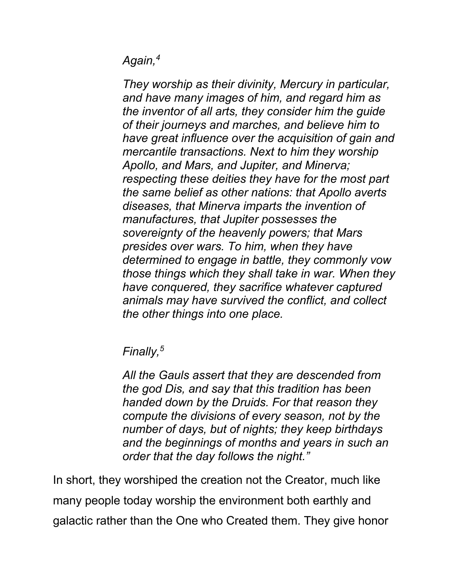*Again,4*

*They worship as their divinity, Mercury in particular, and have many images of him, and regard him as the inventor of all arts, they consider him the guide of their journeys and marches, and believe him to have great influence over the acquisition of gain and mercantile transactions. Next to him they worship Apollo, and Mars, and Jupiter, and Minerva; respecting these deities they have for the most part the same belief as other nations: that Apollo averts diseases, that Minerva imparts the invention of manufactures, that Jupiter possesses the sovereignty of the heavenly powers; that Mars presides over wars. To him, when they have determined to engage in battle, they commonly vow those things which they shall take in war. When they have conquered, they sacrifice whatever captured animals may have survived the conflict, and collect the other things into one place.* 

*Finally,5*

*All the Gauls assert that they are descended from the god Dis, and say that this tradition has been handed down by the Druids. For that reason they compute the divisions of every season, not by the number of days, but of nights; they keep birthdays and the beginnings of months and years in such an order that the day follows the night."* 

In short, they worshiped the creation not the Creator, much like many people today worship the environment both earthly and galactic rather than the One who Created them. They give honor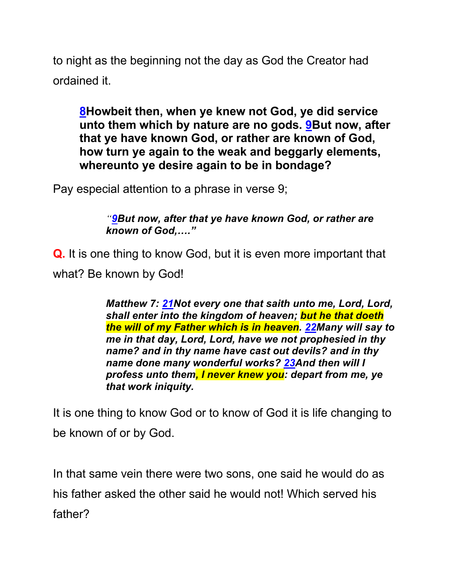to night as the beginning not the day as God the Creator had ordained it.

**8Howbeit then, when ye knew not God, ye did service unto them which by nature are no gods. 9But now, after that ye have known God, or rather are known of God, how turn ye again to the weak and beggarly elements, whereunto ye desire again to be in bondage?** 

Pay especial attention to a phrase in verse 9;

*"9But now, after that ye have known God, or rather are known of God,…."*

**Q.** It is one thing to know God, but it is even more important that what? Be known by God!

> *Matthew 7: 21Not every one that saith unto me, Lord, Lord, shall enter into the kingdom of heaven; but he that doeth the will of my Father which is in heaven. 22Many will say to me in that day, Lord, Lord, have we not prophesied in thy name? and in thy name have cast out devils? and in thy name done many wonderful works? 23And then will I profess unto them, I never knew you: depart from me, ye that work iniquity.*

It is one thing to know God or to know of God it is life changing to be known of or by God.

In that same vein there were two sons, one said he would do as his father asked the other said he would not! Which served his father?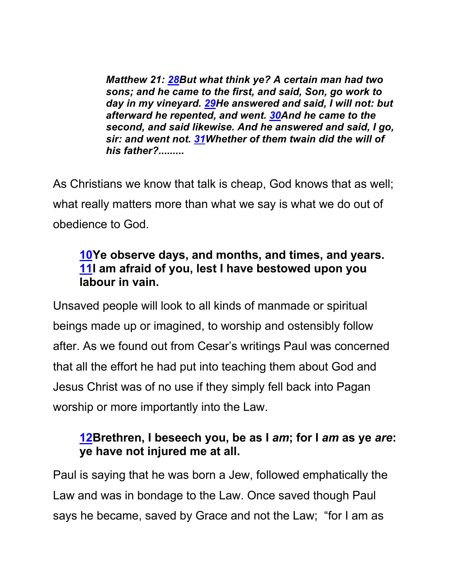*Matthew 21: 28But what think ye? A certain man had two sons; and he came to the first, and said, Son, go work to day in my vineyard. 29He answered and said, I will not: but afterward he repented, and went. 30And he came to the second, and said likewise. And he answered and said, I go, sir: and went not. 31Whether of them twain did the will of his father?.........*

As Christians we know that talk is cheap, God knows that as well; what really matters more than what we say is what we do out of obedience to God.

# **10Ye observe days, and months, and times, and years. 11I am afraid of you, lest I have bestowed upon you labour in vain.**

Unsaved people will look to all kinds of manmade or spiritual beings made up or imagined, to worship and ostensibly follow after. As we found out from Cesar's writings Paul was concerned that all the effort he had put into teaching them about God and Jesus Christ was of no use if they simply fell back into Pagan worship or more importantly into the Law.

# **12Brethren, I beseech you, be as I** *am***; for I** *am* **as ye** *are***: ye have not injured me at all.**

Paul is saying that he was born a Jew, followed emphatically the Law and was in bondage to the Law. Once saved though Paul says he became, saved by Grace and not the Law; "for I am as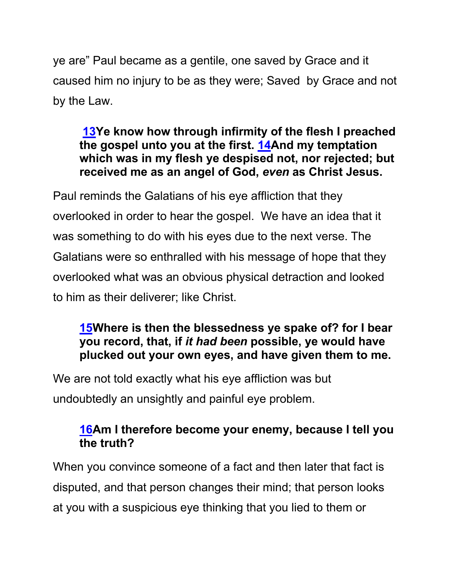ye are" Paul became as a gentile, one saved by Grace and it caused him no injury to be as they were; Saved by Grace and not by the Law.

### **13Ye know how through infirmity of the flesh I preached the gospel unto you at the first. 14And my temptation which was in my flesh ye despised not, nor rejected; but received me as an angel of God,** *even* **as Christ Jesus.**

Paul reminds the Galatians of his eye affliction that they overlooked in order to hear the gospel. We have an idea that it was something to do with his eyes due to the next verse. The Galatians were so enthralled with his message of hope that they overlooked what was an obvious physical detraction and looked to him as their deliverer; like Christ.

# **15Where is then the blessedness ye spake of? for I bear you record, that, if** *it had been* **possible, ye would have plucked out your own eyes, and have given them to me.**

We are not told exactly what his eye affliction was but undoubtedly an unsightly and painful eye problem.

# **16Am I therefore become your enemy, because I tell you the truth?**

When you convince someone of a fact and then later that fact is disputed, and that person changes their mind; that person looks at you with a suspicious eye thinking that you lied to them or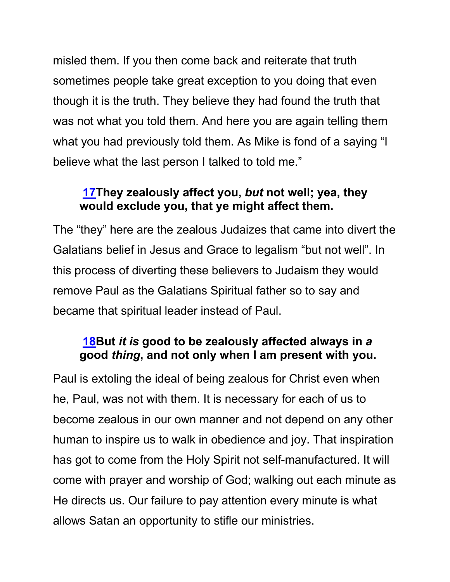misled them. If you then come back and reiterate that truth sometimes people take great exception to you doing that even though it is the truth. They believe they had found the truth that was not what you told them. And here you are again telling them what you had previously told them. As Mike is fond of a saying "I believe what the last person I talked to told me."

# **17They zealously affect you,** *but* **not well; yea, they would exclude you, that ye might affect them.**

The "they" here are the zealous Judaizes that came into divert the Galatians belief in Jesus and Grace to legalism "but not well". In this process of diverting these believers to Judaism they would remove Paul as the Galatians Spiritual father so to say and became that spiritual leader instead of Paul.

### **18But** *it is* **good to be zealously affected always in** *a* **good** *thing***, and not only when I am present with you.**

Paul is extoling the ideal of being zealous for Christ even when he, Paul, was not with them. It is necessary for each of us to become zealous in our own manner and not depend on any other human to inspire us to walk in obedience and joy. That inspiration has got to come from the Holy Spirit not self-manufactured. It will come with prayer and worship of God; walking out each minute as He directs us. Our failure to pay attention every minute is what allows Satan an opportunity to stifle our ministries.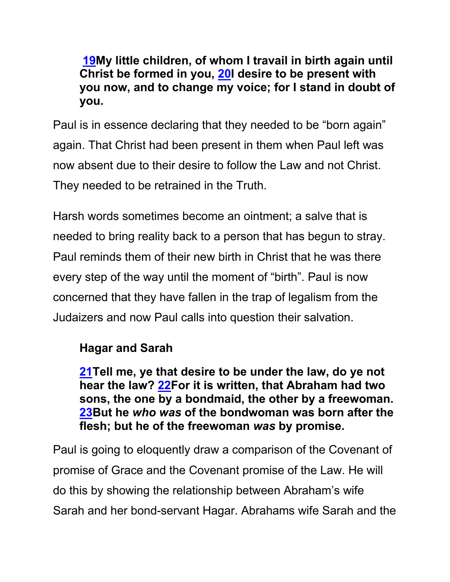**19My little children, of whom I travail in birth again until Christ be formed in you, 20I desire to be present with you now, and to change my voice; for I stand in doubt of you.**

Paul is in essence declaring that they needed to be "born again" again. That Christ had been present in them when Paul left was now absent due to their desire to follow the Law and not Christ. They needed to be retrained in the Truth.

Harsh words sometimes become an ointment; a salve that is needed to bring reality back to a person that has begun to stray. Paul reminds them of their new birth in Christ that he was there every step of the way until the moment of "birth". Paul is now concerned that they have fallen in the trap of legalism from the Judaizers and now Paul calls into question their salvation.

# **Hagar and Sarah**

**21Tell me, ye that desire to be under the law, do ye not hear the law? 22For it is written, that Abraham had two sons, the one by a bondmaid, the other by a freewoman. 23But he** *who was* **of the bondwoman was born after the flesh; but he of the freewoman** *was* **by promise.**

Paul is going to eloquently draw a comparison of the Covenant of promise of Grace and the Covenant promise of the Law. He will do this by showing the relationship between Abraham's wife Sarah and her bond-servant Hagar. Abrahams wife Sarah and the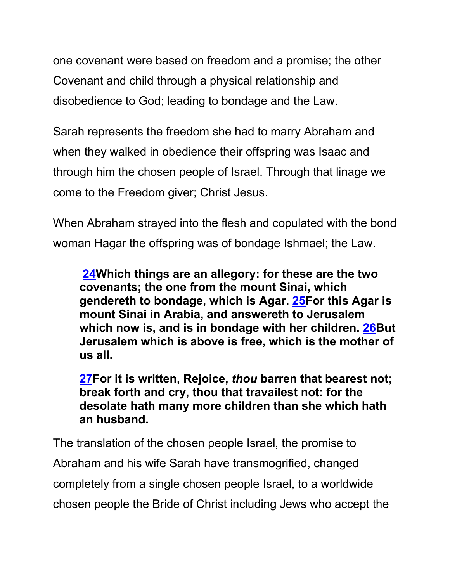one covenant were based on freedom and a promise; the other Covenant and child through a physical relationship and disobedience to God; leading to bondage and the Law.

Sarah represents the freedom she had to marry Abraham and when they walked in obedience their offspring was Isaac and through him the chosen people of Israel. Through that linage we come to the Freedom giver; Christ Jesus.

When Abraham strayed into the flesh and copulated with the bond woman Hagar the offspring was of bondage Ishmael; the Law.

**24Which things are an allegory: for these are the two covenants; the one from the mount Sinai, which gendereth to bondage, which is Agar. 25For this Agar is mount Sinai in Arabia, and answereth to Jerusalem which now is, and is in bondage with her children. 26But Jerusalem which is above is free, which is the mother of us all.**

**27For it is written, Rejoice,** *thou* **barren that bearest not; break forth and cry, thou that travailest not: for the desolate hath many more children than she which hath an husband.**

The translation of the chosen people Israel, the promise to Abraham and his wife Sarah have transmogrified, changed completely from a single chosen people Israel, to a worldwide chosen people the Bride of Christ including Jews who accept the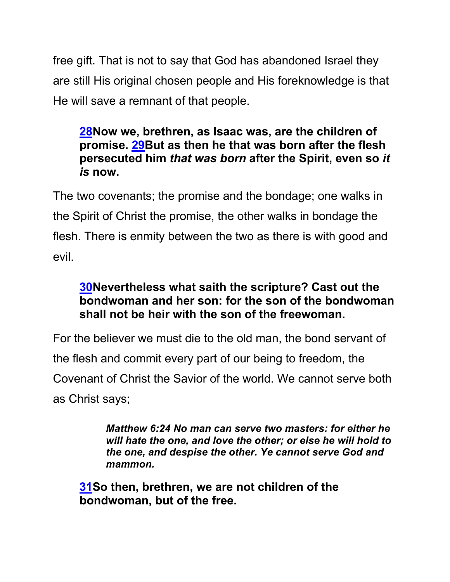free gift. That is not to say that God has abandoned Israel they are still His original chosen people and His foreknowledge is that He will save a remnant of that people.

#### **28Now we, brethren, as Isaac was, are the children of promise. 29But as then he that was born after the flesh persecuted him** *that was born* **after the Spirit, even so** *it is* **now.**

The two covenants; the promise and the bondage; one walks in the Spirit of Christ the promise, the other walks in bondage the flesh. There is enmity between the two as there is with good and evil.

# **30Nevertheless what saith the scripture? Cast out the bondwoman and her son: for the son of the bondwoman shall not be heir with the son of the freewoman.**

For the believer we must die to the old man, the bond servant of the flesh and commit every part of our being to freedom, the Covenant of Christ the Savior of the world. We cannot serve both as Christ says;

> *Matthew 6:24 No man can serve two masters: for either he will hate the one, and love the other; or else he will hold to the one, and despise the other. Ye cannot serve God and mammon.*

**31So then, brethren, we are not children of the bondwoman, but of the free.**